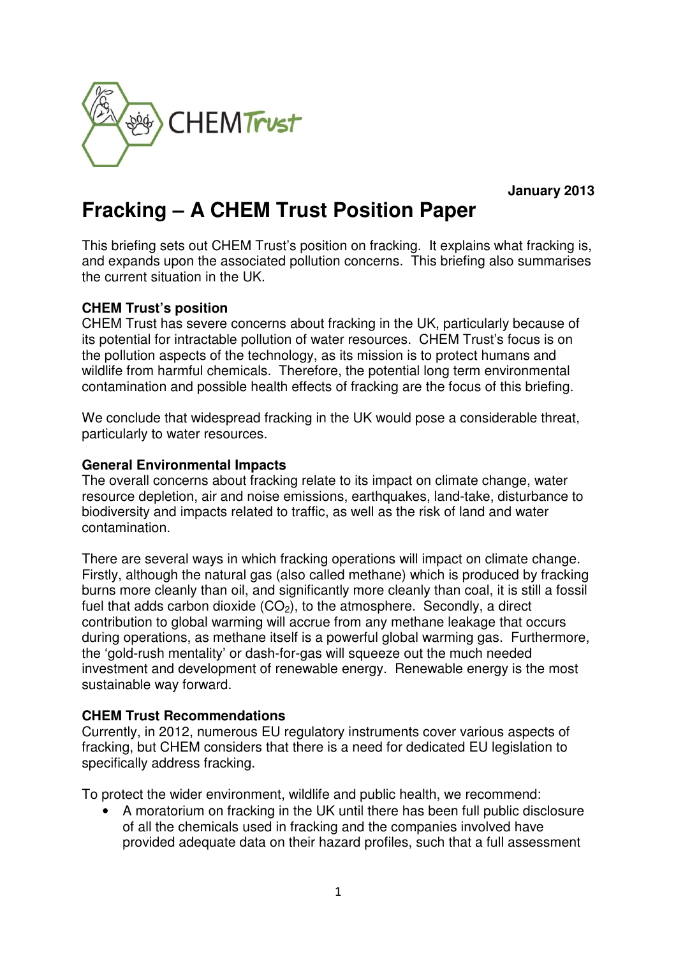

**January 2013** 

# **Fracking – A CHEM Trust Position Paper**

This briefing sets out CHEM Trust's position on fracking. It explains what fracking is, and expands upon the associated pollution concerns. This briefing also summarises the current situation in the UK.

## **CHEM Trust's position**

CHEM Trust has severe concerns about fracking in the UK, particularly because of its potential for intractable pollution of water resources. CHEM Trust's focus is on the pollution aspects of the technology, as its mission is to protect humans and wildlife from harmful chemicals. Therefore, the potential long term environmental contamination and possible health effects of fracking are the focus of this briefing.

We conclude that widespread fracking in the UK would pose a considerable threat, particularly to water resources.

### **General Environmental Impacts**

The overall concerns about fracking relate to its impact on climate change, water resource depletion, air and noise emissions, earthquakes, land-take, disturbance to biodiversity and impacts related to traffic, as well as the risk of land and water contamination.

There are several ways in which fracking operations will impact on climate change. Firstly, although the natural gas (also called methane) which is produced by fracking burns more cleanly than oil, and significantly more cleanly than coal, it is still a fossil fuel that adds carbon dioxide  $(CO<sub>2</sub>)$ , to the atmosphere. Secondly, a direct contribution to global warming will accrue from any methane leakage that occurs during operations, as methane itself is a powerful global warming gas. Furthermore, the 'gold-rush mentality' or dash-for-gas will squeeze out the much needed investment and development of renewable energy. Renewable energy is the most sustainable way forward.

## **CHEM Trust Recommendations**

Currently, in 2012, numerous EU regulatory instruments cover various aspects of fracking, but CHEM considers that there is a need for dedicated EU legislation to specifically address fracking.

To protect the wider environment, wildlife and public health, we recommend:

• A moratorium on fracking in the UK until there has been full public disclosure of all the chemicals used in fracking and the companies involved have provided adequate data on their hazard profiles, such that a full assessment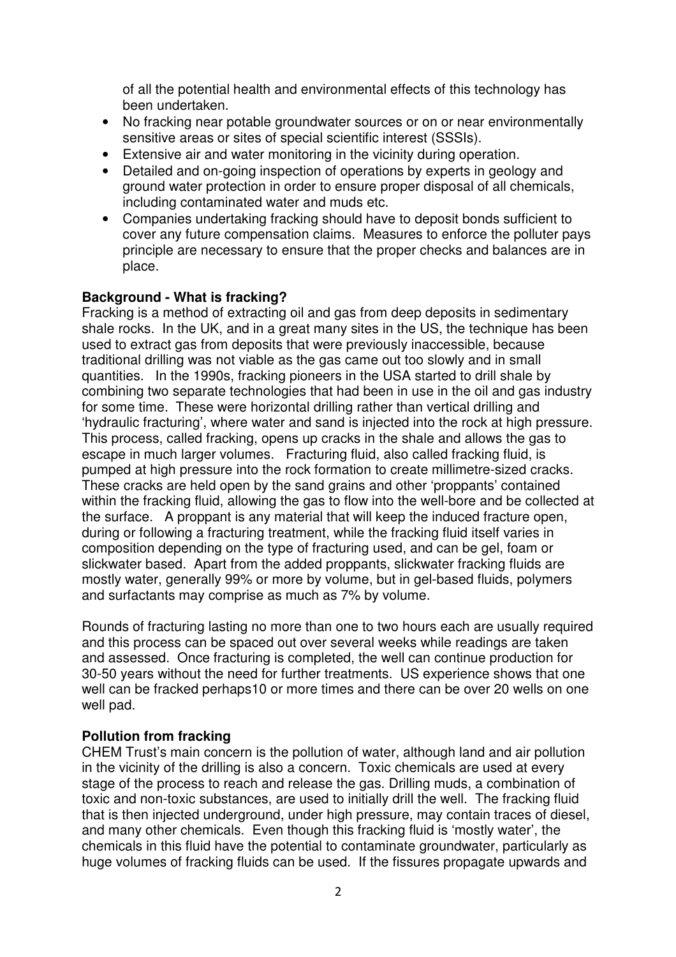of all the potential health and environmental effects of this technology has been undertaken.

- No fracking near potable groundwater sources or on or near environmentally sensitive areas or sites of special scientific interest (SSSIs).
- Extensive air and water monitoring in the vicinity during operation.
- Detailed and on-going inspection of operations by experts in geology and ground water protection in order to ensure proper disposal of all chemicals, including contaminated water and muds etc.
- Companies undertaking fracking should have to deposit bonds sufficient to cover any future compensation claims. Measures to enforce the polluter pays principle are necessary to ensure that the proper checks and balances are in place.

## **Background - What is fracking?**

Fracking is a method of extracting oil and gas from deep deposits in sedimentary shale rocks. In the UK, and in a great many sites in the US, the technique has been used to extract gas from deposits that were previously inaccessible, because traditional drilling was not viable as the gas came out too slowly and in small quantities. In the 1990s, fracking pioneers in the USA started to drill shale by combining two separate technologies that had been in use in the oil and gas industry for some time. These were horizontal drilling rather than vertical drilling and 'hydraulic fracturing', where water and sand is injected into the rock at high pressure. This process, called fracking, opens up cracks in the shale and allows the gas to escape in much larger volumes. Fracturing fluid, also called fracking fluid, is pumped at high pressure into the rock formation to create millimetre-sized cracks. These cracks are held open by the sand grains and other 'proppants' contained within the fracking fluid, allowing the gas to flow into the well-bore and be collected at the surface. A proppant is any material that will keep the induced fracture open, during or following a fracturing treatment, while the fracking fluid itself varies in composition depending on the type of fracturing used, and can be gel, foam or slickwater based. Apart from the added proppants, slickwater fracking fluids are mostly water, generally 99% or more by volume, but in gel-based fluids, polymers and surfactants may comprise as much as 7% by volume.

Rounds of fracturing lasting no more than one to two hours each are usually required and this process can be spaced out over several weeks while readings are taken and assessed. Once fracturing is completed, the well can continue production for 30-50 years without the need for further treatments. US experience shows that one well can be fracked perhaps10 or more times and there can be over 20 wells on one well pad.

### **Pollution from fracking**

CHEM Trust's main concern is the pollution of water, although land and air pollution in the vicinity of the drilling is also a concern. Toxic chemicals are used at every stage of the process to reach and release the gas. Drilling muds, a combination of toxic and non-toxic substances, are used to initially drill the well. The fracking fluid that is then injected underground, under high pressure, may contain traces of diesel, and many other chemicals. Even though this fracking fluid is 'mostly water', the chemicals in this fluid have the potential to contaminate groundwater, particularly as huge volumes of fracking fluids can be used. If the fissures propagate upwards and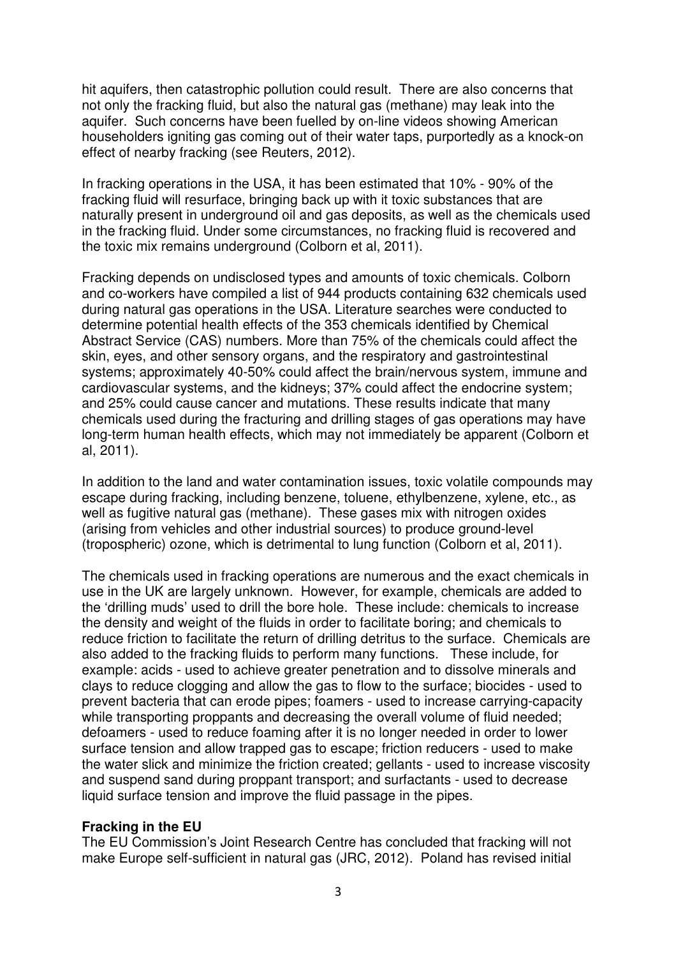hit aquifers, then catastrophic pollution could result. There are also concerns that not only the fracking fluid, but also the natural gas (methane) may leak into the aquifer. Such concerns have been fuelled by on-line videos showing American householders igniting gas coming out of their water taps, purportedly as a knock-on effect of nearby fracking (see Reuters, 2012).

In fracking operations in the USA, it has been estimated that 10% - 90% of the fracking fluid will resurface, bringing back up with it toxic substances that are naturally present in underground oil and gas deposits, as well as the chemicals used in the fracking fluid. Under some circumstances, no fracking fluid is recovered and the toxic mix remains underground (Colborn et al, 2011).

Fracking depends on undisclosed types and amounts of toxic chemicals. Colborn and co-workers have compiled a list of 944 products containing 632 chemicals used during natural gas operations in the USA. Literature searches were conducted to determine potential health effects of the 353 chemicals identified by Chemical Abstract Service (CAS) numbers. More than 75% of the chemicals could affect the skin, eyes, and other sensory organs, and the respiratory and gastrointestinal systems; approximately 40-50% could affect the brain/nervous system, immune and cardiovascular systems, and the kidneys; 37% could affect the endocrine system; and 25% could cause cancer and mutations. These results indicate that many chemicals used during the fracturing and drilling stages of gas operations may have long-term human health effects, which may not immediately be apparent (Colborn et al, 2011).

In addition to the land and water contamination issues, toxic volatile compounds may escape during fracking, including benzene, toluene, ethylbenzene, xylene, etc., as well as fugitive natural gas (methane). These gases mix with nitrogen oxides (arising from vehicles and other industrial sources) to produce ground-level (tropospheric) ozone, which is detrimental to lung function (Colborn et al, 2011).

The chemicals used in fracking operations are numerous and the exact chemicals in use in the UK are largely unknown. However, for example, chemicals are added to the 'drilling muds' used to drill the bore hole. These include: chemicals to increase the density and weight of the fluids in order to facilitate boring; and chemicals to reduce friction to facilitate the return of drilling detritus to the surface. Chemicals are also added to the fracking fluids to perform many functions. These include, for example: acids - used to achieve greater penetration and to dissolve minerals and clays to reduce clogging and allow the gas to flow to the surface; biocides - used to prevent bacteria that can erode pipes; foamers - used to increase carrying-capacity while transporting proppants and decreasing the overall volume of fluid needed; defoamers - used to reduce foaming after it is no longer needed in order to lower surface tension and allow trapped gas to escape; friction reducers - used to make the water slick and minimize the friction created; gellants - used to increase viscosity and suspend sand during proppant transport; and surfactants - used to decrease liquid surface tension and improve the fluid passage in the pipes.

### **Fracking in the EU**

The EU Commission's Joint Research Centre has concluded that fracking will not make Europe self-sufficient in natural gas (JRC, 2012). Poland has revised initial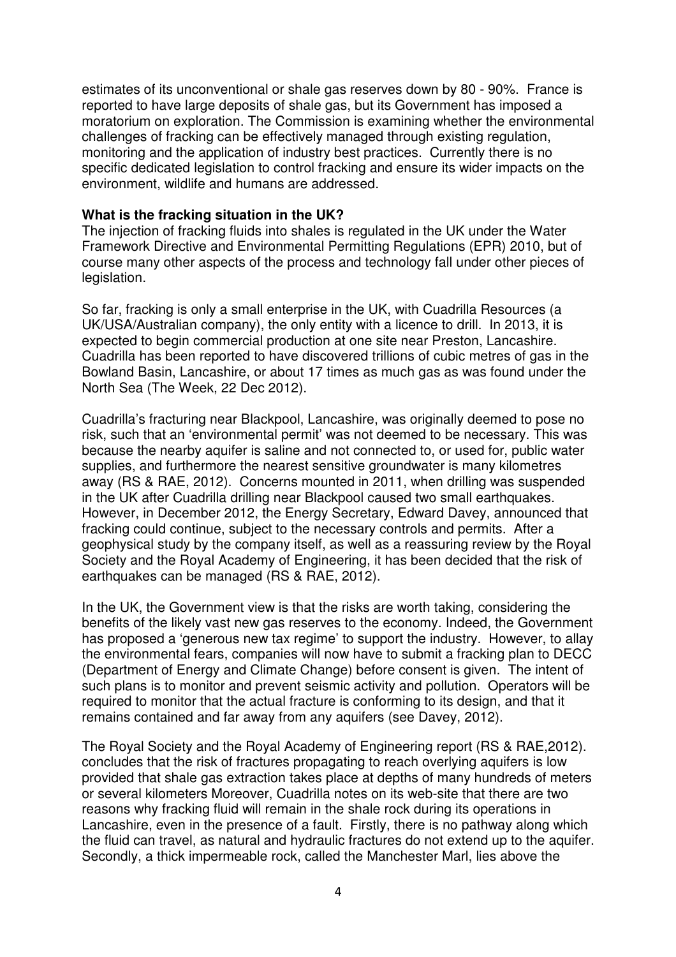estimates of its unconventional or shale gas reserves down by 80 - 90%. France is reported to have large deposits of shale gas, but its Government has imposed a moratorium on exploration. The Commission is examining whether the environmental challenges of fracking can be effectively managed through existing regulation, monitoring and the application of industry best practices. Currently there is no specific dedicated legislation to control fracking and ensure its wider impacts on the environment, wildlife and humans are addressed.

#### **What is the fracking situation in the UK?**

The injection of fracking fluids into shales is regulated in the UK under the Water Framework Directive and Environmental Permitting Regulations (EPR) 2010, but of course many other aspects of the process and technology fall under other pieces of legislation.

So far, fracking is only a small enterprise in the UK, with Cuadrilla Resources (a UK/USA/Australian company), the only entity with a licence to drill. In 2013, it is expected to begin commercial production at one site near Preston, Lancashire. Cuadrilla has been reported to have discovered trillions of cubic metres of gas in the Bowland Basin, Lancashire, or about 17 times as much gas as was found under the North Sea (The Week, 22 Dec 2012).

Cuadrilla's fracturing near Blackpool, Lancashire, was originally deemed to pose no risk, such that an 'environmental permit' was not deemed to be necessary. This was because the nearby aquifer is saline and not connected to, or used for, public water supplies, and furthermore the nearest sensitive groundwater is many kilometres away (RS & RAE, 2012). Concerns mounted in 2011, when drilling was suspended in the UK after Cuadrilla drilling near Blackpool caused two small earthquakes. However, in December 2012, the Energy Secretary, Edward Davey, announced that fracking could continue, subject to the necessary controls and permits. After a geophysical study by the company itself, as well as a reassuring review by the Royal Society and the Royal Academy of Engineering, it has been decided that the risk of earthquakes can be managed (RS & RAE, 2012).

In the UK, the Government view is that the risks are worth taking, considering the benefits of the likely vast new gas reserves to the economy. Indeed, the Government has proposed a 'generous new tax regime' to support the industry. However, to allay the environmental fears, companies will now have to submit a fracking plan to DECC (Department of Energy and Climate Change) before consent is given. The intent of such plans is to monitor and prevent seismic activity and pollution. Operators will be required to monitor that the actual fracture is conforming to its design, and that it remains contained and far away from any aquifers (see Davey, 2012).

The Royal Society and the Royal Academy of Engineering report (RS & RAE,2012). concludes that the risk of fractures propagating to reach overlying aquifers is low provided that shale gas extraction takes place at depths of many hundreds of meters or several kilometers Moreover, Cuadrilla notes on its web-site that there are two reasons why fracking fluid will remain in the shale rock during its operations in Lancashire, even in the presence of a fault. Firstly, there is no pathway along which the fluid can travel, as natural and hydraulic fractures do not extend up to the aquifer. Secondly, a thick impermeable rock, called the Manchester Marl, lies above the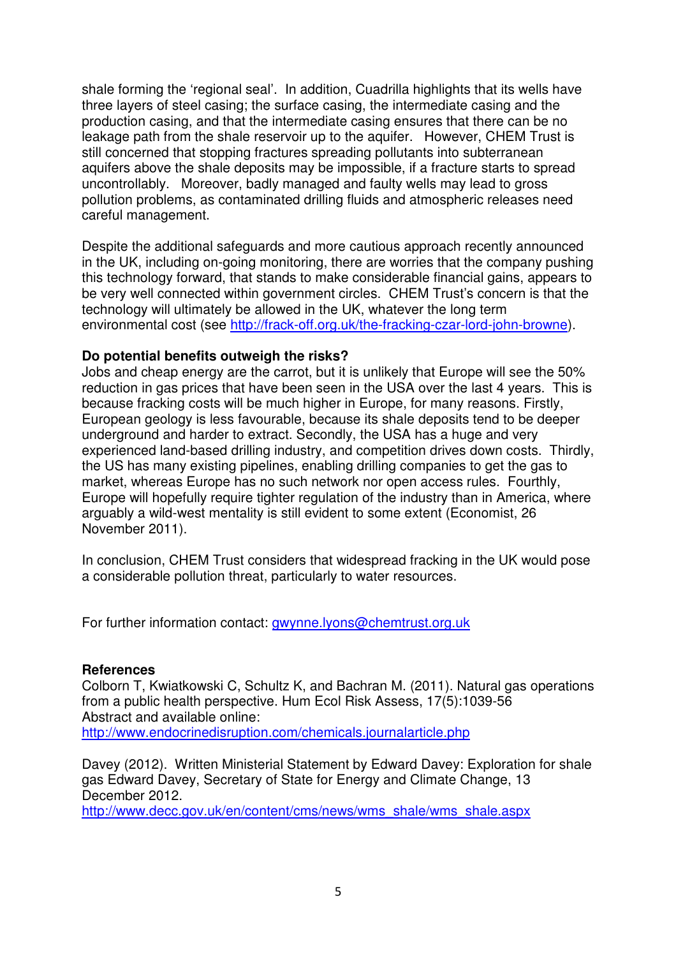shale forming the 'regional seal'. In addition, Cuadrilla highlights that its wells have three layers of steel casing; the surface casing, the intermediate casing and the production casing, and that the intermediate casing ensures that there can be no leakage path from the shale reservoir up to the aquifer. However, CHEM Trust is still concerned that stopping fractures spreading pollutants into subterranean aquifers above the shale deposits may be impossible, if a fracture starts to spread uncontrollably. Moreover, badly managed and faulty wells may lead to gross pollution problems, as contaminated drilling fluids and atmospheric releases need careful management.

Despite the additional safeguards and more cautious approach recently announced in the UK, including on-going monitoring, there are worries that the company pushing this technology forward, that stands to make considerable financial gains, appears to be very well connected within government circles. CHEM Trust's concern is that the technology will ultimately be allowed in the UK, whatever the long term environmental cost (see http://frack-off.org.uk/the-fracking-czar-lord-john-browne).

### **Do potential benefits outweigh the risks?**

Jobs and cheap energy are the carrot, but it is unlikely that Europe will see the 50% reduction in gas prices that have been seen in the USA over the last 4 years. This is because fracking costs will be much higher in Europe, for many reasons. Firstly, European geology is less favourable, because its shale deposits tend to be deeper underground and harder to extract. Secondly, the USA has a huge and very experienced land-based drilling industry, and competition drives down costs. Thirdly, the US has many existing pipelines, enabling drilling companies to get the gas to market, whereas Europe has no such network nor open access rules. Fourthly, Europe will hopefully require tighter regulation of the industry than in America, where arguably a wild-west mentality is still evident to some extent (Economist, 26 November 2011).

In conclusion, CHEM Trust considers that widespread fracking in the UK would pose a considerable pollution threat, particularly to water resources.

For further information contact: gwynne.lyons@chemtrust.org.uk

### **References**

Colborn T, Kwiatkowski C, Schultz K, and Bachran M. (2011). Natural gas operations from a public health perspective. Hum Ecol Risk Assess, 17(5):1039-56 Abstract and available online:

http://www.endocrinedisruption.com/chemicals.journalarticle.php

Davey (2012). Written Ministerial Statement by Edward Davey: Exploration for shale gas Edward Davey, Secretary of State for Energy and Climate Change, 13 December 2012.

http://www.decc.gov.uk/en/content/cms/news/wms\_shale/wms\_shale.aspx